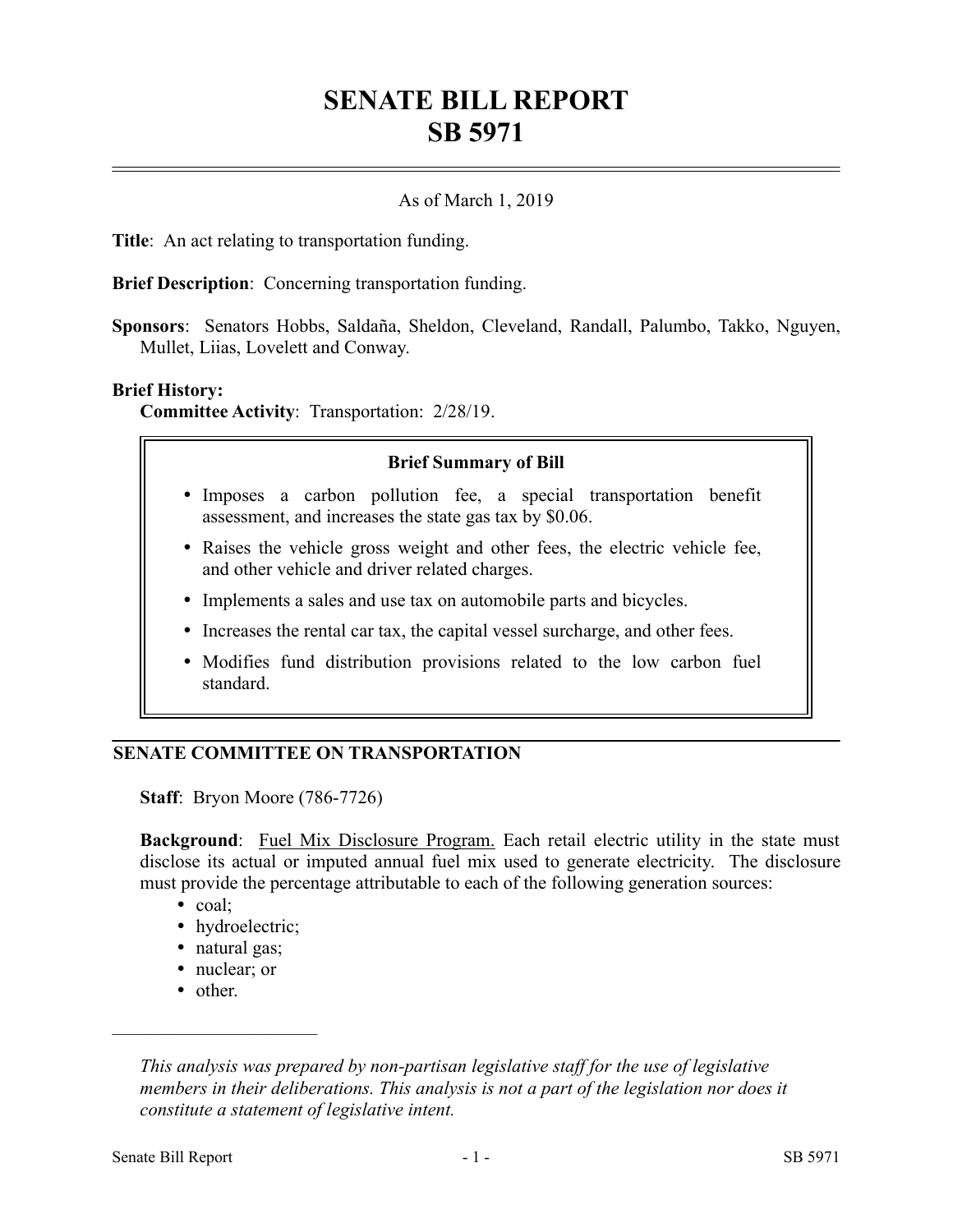# **SENATE BILL REPORT SB 5971**

## As of March 1, 2019

**Title**: An act relating to transportation funding.

**Brief Description**: Concerning transportation funding.

**Sponsors**: Senators Hobbs, Saldaña, Sheldon, Cleveland, Randall, Palumbo, Takko, Nguyen, Mullet, Liias, Lovelett and Conway.

#### **Brief History:**

**Committee Activity**: Transportation: 2/28/19.

#### **Brief Summary of Bill**

- Imposes a carbon pollution fee, a special transportation benefit assessment, and increases the state gas tax by \$0.06.
- Raises the vehicle gross weight and other fees, the electric vehicle fee, and other vehicle and driver related charges.
- Implements a sales and use tax on automobile parts and bicycles.
- Increases the rental car tax, the capital vessel surcharge, and other fees.
- Modifies fund distribution provisions related to the low carbon fuel standard.

## **SENATE COMMITTEE ON TRANSPORTATION**

**Staff**: Bryon Moore (786-7726)

**Background**: Fuel Mix Disclosure Program. Each retail electric utility in the state must disclose its actual or imputed annual fuel mix used to generate electricity. The disclosure must provide the percentage attributable to each of the following generation sources:

- coal;
- hydroelectric;
- natural gas;
- nuclear; or
- other.

––––––––––––––––––––––

*This analysis was prepared by non-partisan legislative staff for the use of legislative members in their deliberations. This analysis is not a part of the legislation nor does it constitute a statement of legislative intent.*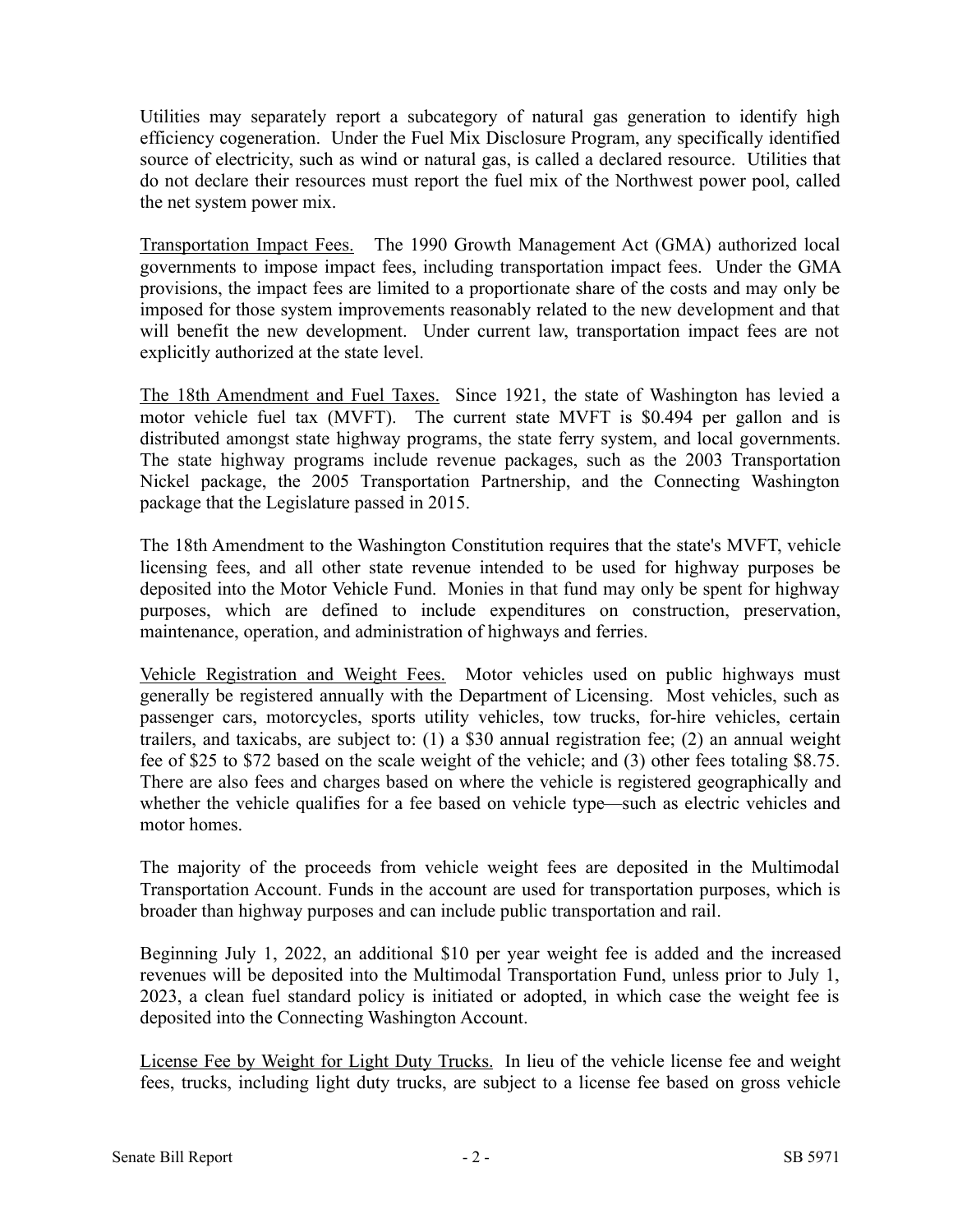Utilities may separately report a subcategory of natural gas generation to identify high efficiency cogeneration. Under the Fuel Mix Disclosure Program, any specifically identified source of electricity, such as wind or natural gas, is called a declared resource. Utilities that do not declare their resources must report the fuel mix of the Northwest power pool, called the net system power mix.

Transportation Impact Fees. The 1990 Growth Management Act (GMA) authorized local governments to impose impact fees, including transportation impact fees. Under the GMA provisions, the impact fees are limited to a proportionate share of the costs and may only be imposed for those system improvements reasonably related to the new development and that will benefit the new development. Under current law, transportation impact fees are not explicitly authorized at the state level.

The 18th Amendment and Fuel Taxes. Since 1921, the state of Washington has levied a motor vehicle fuel tax (MVFT). The current state MVFT is \$0.494 per gallon and is distributed amongst state highway programs, the state ferry system, and local governments. The state highway programs include revenue packages, such as the 2003 Transportation Nickel package, the 2005 Transportation Partnership, and the Connecting Washington package that the Legislature passed in 2015.

The 18th Amendment to the Washington Constitution requires that the state's MVFT, vehicle licensing fees, and all other state revenue intended to be used for highway purposes be deposited into the Motor Vehicle Fund. Monies in that fund may only be spent for highway purposes, which are defined to include expenditures on construction, preservation, maintenance, operation, and administration of highways and ferries.

Vehicle Registration and Weight Fees. Motor vehicles used on public highways must generally be registered annually with the Department of Licensing. Most vehicles, such as passenger cars, motorcycles, sports utility vehicles, tow trucks, for-hire vehicles, certain trailers, and taxicabs, are subject to: (1) a \$30 annual registration fee; (2) an annual weight fee of \$25 to \$72 based on the scale weight of the vehicle; and (3) other fees totaling \$8.75. There are also fees and charges based on where the vehicle is registered geographically and whether the vehicle qualifies for a fee based on vehicle type—such as electric vehicles and motor homes.

The majority of the proceeds from vehicle weight fees are deposited in the Multimodal Transportation Account. Funds in the account are used for transportation purposes, which is broader than highway purposes and can include public transportation and rail.

Beginning July 1, 2022, an additional \$10 per year weight fee is added and the increased revenues will be deposited into the Multimodal Transportation Fund, unless prior to July 1, 2023, a clean fuel standard policy is initiated or adopted, in which case the weight fee is deposited into the Connecting Washington Account.

License Fee by Weight for Light Duty Trucks. In lieu of the vehicle license fee and weight fees, trucks, including light duty trucks, are subject to a license fee based on gross vehicle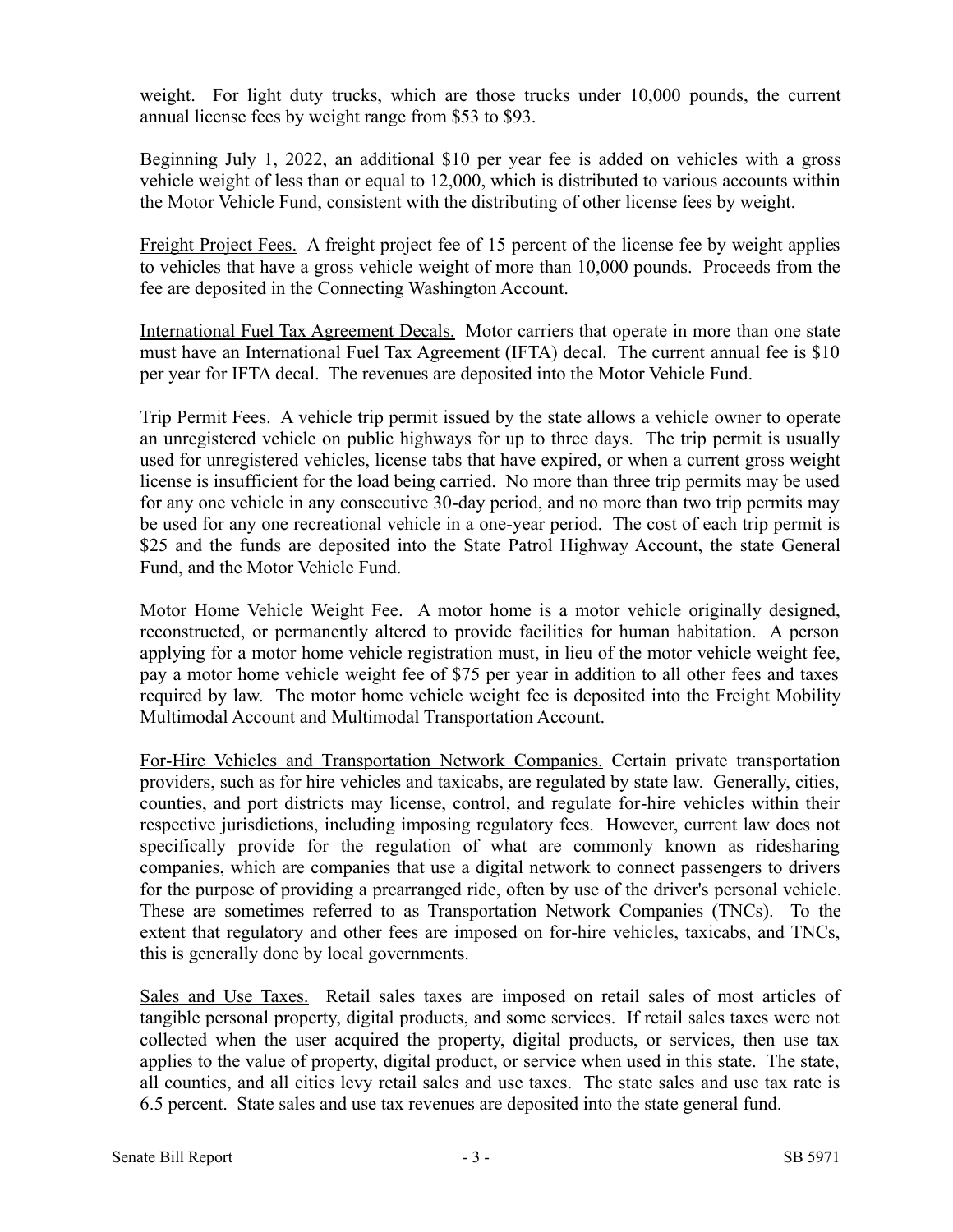weight. For light duty trucks, which are those trucks under 10,000 pounds, the current annual license fees by weight range from \$53 to \$93.

Beginning July 1, 2022, an additional \$10 per year fee is added on vehicles with a gross vehicle weight of less than or equal to 12,000, which is distributed to various accounts within the Motor Vehicle Fund, consistent with the distributing of other license fees by weight.

Freight Project Fees. A freight project fee of 15 percent of the license fee by weight applies to vehicles that have a gross vehicle weight of more than 10,000 pounds. Proceeds from the fee are deposited in the Connecting Washington Account.

International Fuel Tax Agreement Decals. Motor carriers that operate in more than one state must have an International Fuel Tax Agreement (IFTA) decal. The current annual fee is \$10 per year for IFTA decal. The revenues are deposited into the Motor Vehicle Fund.

Trip Permit Fees. A vehicle trip permit issued by the state allows a vehicle owner to operate an unregistered vehicle on public highways for up to three days. The trip permit is usually used for unregistered vehicles, license tabs that have expired, or when a current gross weight license is insufficient for the load being carried. No more than three trip permits may be used for any one vehicle in any consecutive 30-day period, and no more than two trip permits may be used for any one recreational vehicle in a one-year period. The cost of each trip permit is \$25 and the funds are deposited into the State Patrol Highway Account, the state General Fund, and the Motor Vehicle Fund.

Motor Home Vehicle Weight Fee. A motor home is a motor vehicle originally designed, reconstructed, or permanently altered to provide facilities for human habitation. A person applying for a motor home vehicle registration must, in lieu of the motor vehicle weight fee, pay a motor home vehicle weight fee of \$75 per year in addition to all other fees and taxes required by law. The motor home vehicle weight fee is deposited into the Freight Mobility Multimodal Account and Multimodal Transportation Account.

For-Hire Vehicles and Transportation Network Companies. Certain private transportation providers, such as for hire vehicles and taxicabs, are regulated by state law. Generally, cities, counties, and port districts may license, control, and regulate for-hire vehicles within their respective jurisdictions, including imposing regulatory fees. However, current law does not specifically provide for the regulation of what are commonly known as ridesharing companies, which are companies that use a digital network to connect passengers to drivers for the purpose of providing a prearranged ride, often by use of the driver's personal vehicle. These are sometimes referred to as Transportation Network Companies (TNCs). To the extent that regulatory and other fees are imposed on for-hire vehicles, taxicabs, and TNCs, this is generally done by local governments.

Sales and Use Taxes. Retail sales taxes are imposed on retail sales of most articles of tangible personal property, digital products, and some services. If retail sales taxes were not collected when the user acquired the property, digital products, or services, then use tax applies to the value of property, digital product, or service when used in this state. The state, all counties, and all cities levy retail sales and use taxes. The state sales and use tax rate is 6.5 percent. State sales and use tax revenues are deposited into the state general fund.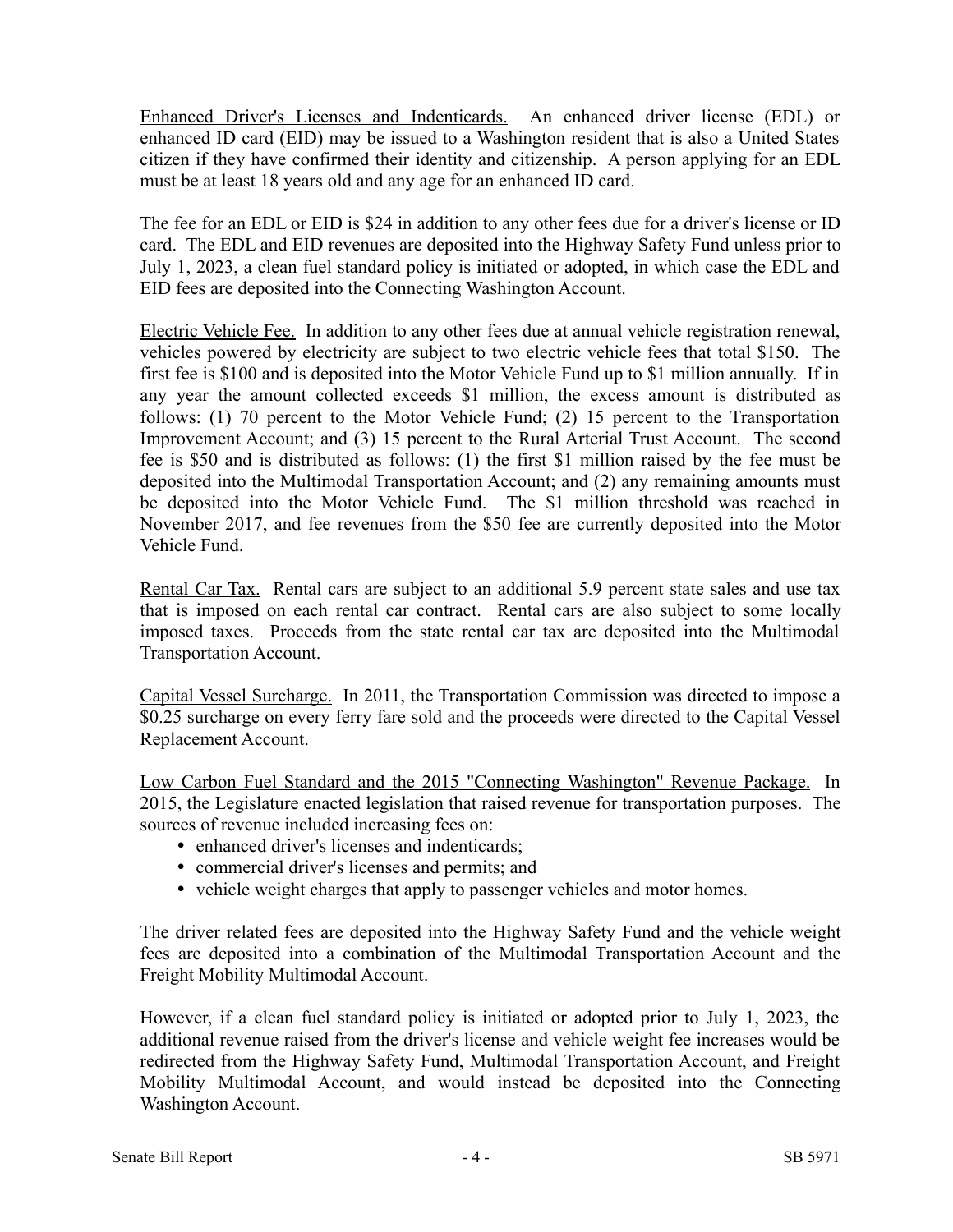Enhanced Driver's Licenses and Indenticards. An enhanced driver license (EDL) or enhanced ID card (EID) may be issued to a Washington resident that is also a United States citizen if they have confirmed their identity and citizenship. A person applying for an EDL must be at least 18 years old and any age for an enhanced ID card.

The fee for an EDL or EID is \$24 in addition to any other fees due for a driver's license or ID card. The EDL and EID revenues are deposited into the Highway Safety Fund unless prior to July 1, 2023, a clean fuel standard policy is initiated or adopted, in which case the EDL and EID fees are deposited into the Connecting Washington Account.

Electric Vehicle Fee. In addition to any other fees due at annual vehicle registration renewal, vehicles powered by electricity are subject to two electric vehicle fees that total \$150. The first fee is \$100 and is deposited into the Motor Vehicle Fund up to \$1 million annually. If in any year the amount collected exceeds \$1 million, the excess amount is distributed as follows: (1) 70 percent to the Motor Vehicle Fund; (2) 15 percent to the Transportation Improvement Account; and (3) 15 percent to the Rural Arterial Trust Account. The second fee is \$50 and is distributed as follows: (1) the first \$1 million raised by the fee must be deposited into the Multimodal Transportation Account; and (2) any remaining amounts must be deposited into the Motor Vehicle Fund. The \$1 million threshold was reached in November 2017, and fee revenues from the \$50 fee are currently deposited into the Motor Vehicle Fund.

Rental Car Tax. Rental cars are subject to an additional 5.9 percent state sales and use tax that is imposed on each rental car contract. Rental cars are also subject to some locally imposed taxes. Proceeds from the state rental car tax are deposited into the Multimodal Transportation Account.

Capital Vessel Surcharge. In 2011, the Transportation Commission was directed to impose a \$0.25 surcharge on every ferry fare sold and the proceeds were directed to the Capital Vessel Replacement Account.

Low Carbon Fuel Standard and the 2015 "Connecting Washington" Revenue Package. In 2015, the Legislature enacted legislation that raised revenue for transportation purposes. The sources of revenue included increasing fees on:

- enhanced driver's licenses and indenticards;
- commercial driver's licenses and permits; and
- vehicle weight charges that apply to passenger vehicles and motor homes.

The driver related fees are deposited into the Highway Safety Fund and the vehicle weight fees are deposited into a combination of the Multimodal Transportation Account and the Freight Mobility Multimodal Account.

However, if a clean fuel standard policy is initiated or adopted prior to July 1, 2023, the additional revenue raised from the driver's license and vehicle weight fee increases would be redirected from the Highway Safety Fund, Multimodal Transportation Account, and Freight Mobility Multimodal Account, and would instead be deposited into the Connecting Washington Account.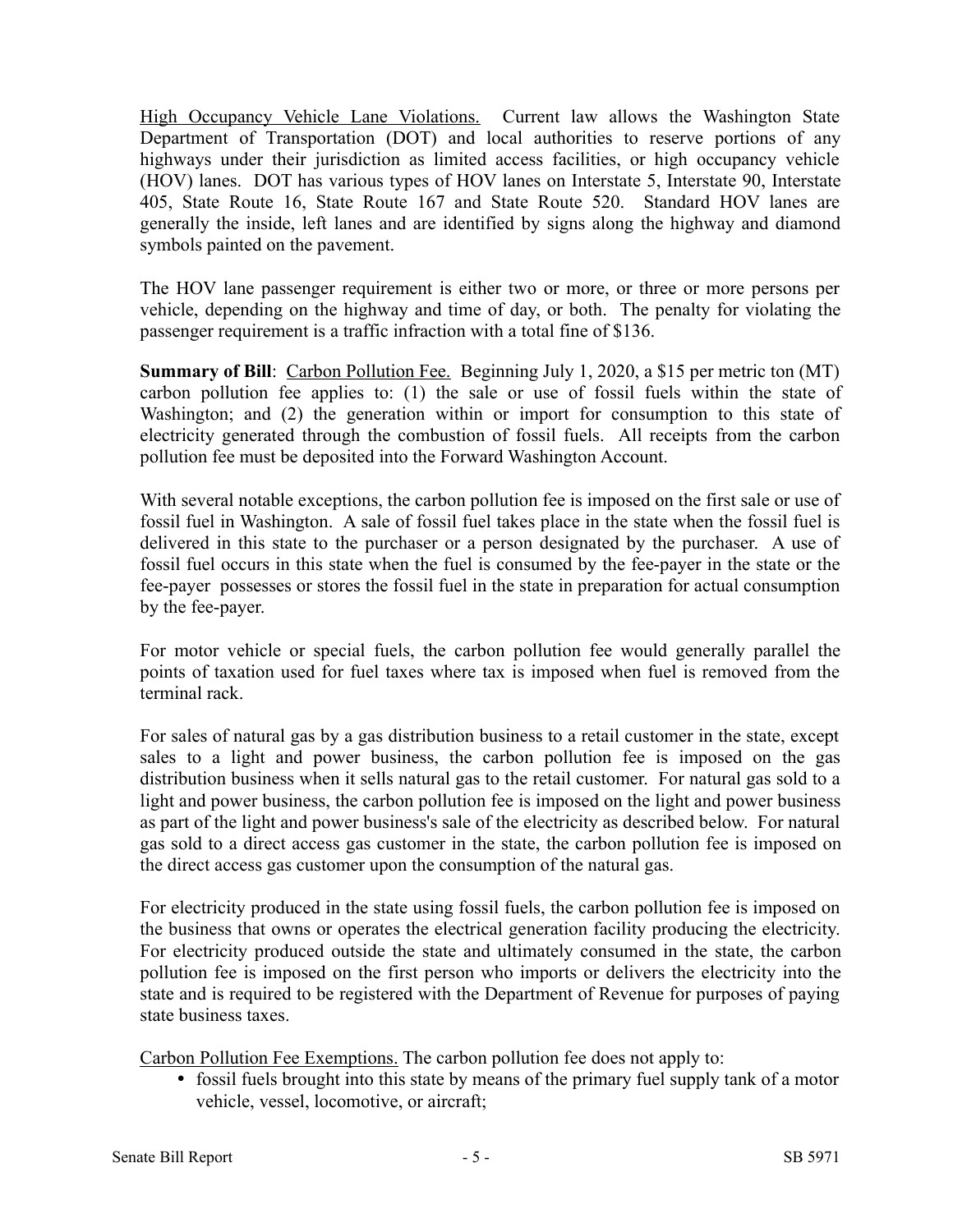High Occupancy Vehicle Lane Violations. Current law allows the Washington State Department of Transportation (DOT) and local authorities to reserve portions of any highways under their jurisdiction as limited access facilities, or high occupancy vehicle (HOV) lanes. DOT has various types of HOV lanes on Interstate 5, Interstate 90, Interstate 405, State Route 16, State Route 167 and State Route 520. Standard HOV lanes are generally the inside, left lanes and are identified by signs along the highway and diamond symbols painted on the pavement.

The HOV lane passenger requirement is either two or more, or three or more persons per vehicle, depending on the highway and time of day, or both. The penalty for violating the passenger requirement is a traffic infraction with a total fine of \$136.

**Summary of Bill**: Carbon Pollution Fee. Beginning July 1, 2020, a \$15 per metric ton (MT) carbon pollution fee applies to: (1) the sale or use of fossil fuels within the state of Washington; and (2) the generation within or import for consumption to this state of electricity generated through the combustion of fossil fuels. All receipts from the carbon pollution fee must be deposited into the Forward Washington Account.

With several notable exceptions, the carbon pollution fee is imposed on the first sale or use of fossil fuel in Washington. A sale of fossil fuel takes place in the state when the fossil fuel is delivered in this state to the purchaser or a person designated by the purchaser. A use of fossil fuel occurs in this state when the fuel is consumed by the fee-payer in the state or the fee-payer possesses or stores the fossil fuel in the state in preparation for actual consumption by the fee-payer.

For motor vehicle or special fuels, the carbon pollution fee would generally parallel the points of taxation used for fuel taxes where tax is imposed when fuel is removed from the terminal rack.

For sales of natural gas by a gas distribution business to a retail customer in the state, except sales to a light and power business, the carbon pollution fee is imposed on the gas distribution business when it sells natural gas to the retail customer. For natural gas sold to a light and power business, the carbon pollution fee is imposed on the light and power business as part of the light and power business's sale of the electricity as described below. For natural gas sold to a direct access gas customer in the state, the carbon pollution fee is imposed on the direct access gas customer upon the consumption of the natural gas.

For electricity produced in the state using fossil fuels, the carbon pollution fee is imposed on the business that owns or operates the electrical generation facility producing the electricity. For electricity produced outside the state and ultimately consumed in the state, the carbon pollution fee is imposed on the first person who imports or delivers the electricity into the state and is required to be registered with the Department of Revenue for purposes of paying state business taxes.

Carbon Pollution Fee Exemptions. The carbon pollution fee does not apply to:

• fossil fuels brought into this state by means of the primary fuel supply tank of a motor vehicle, vessel, locomotive, or aircraft;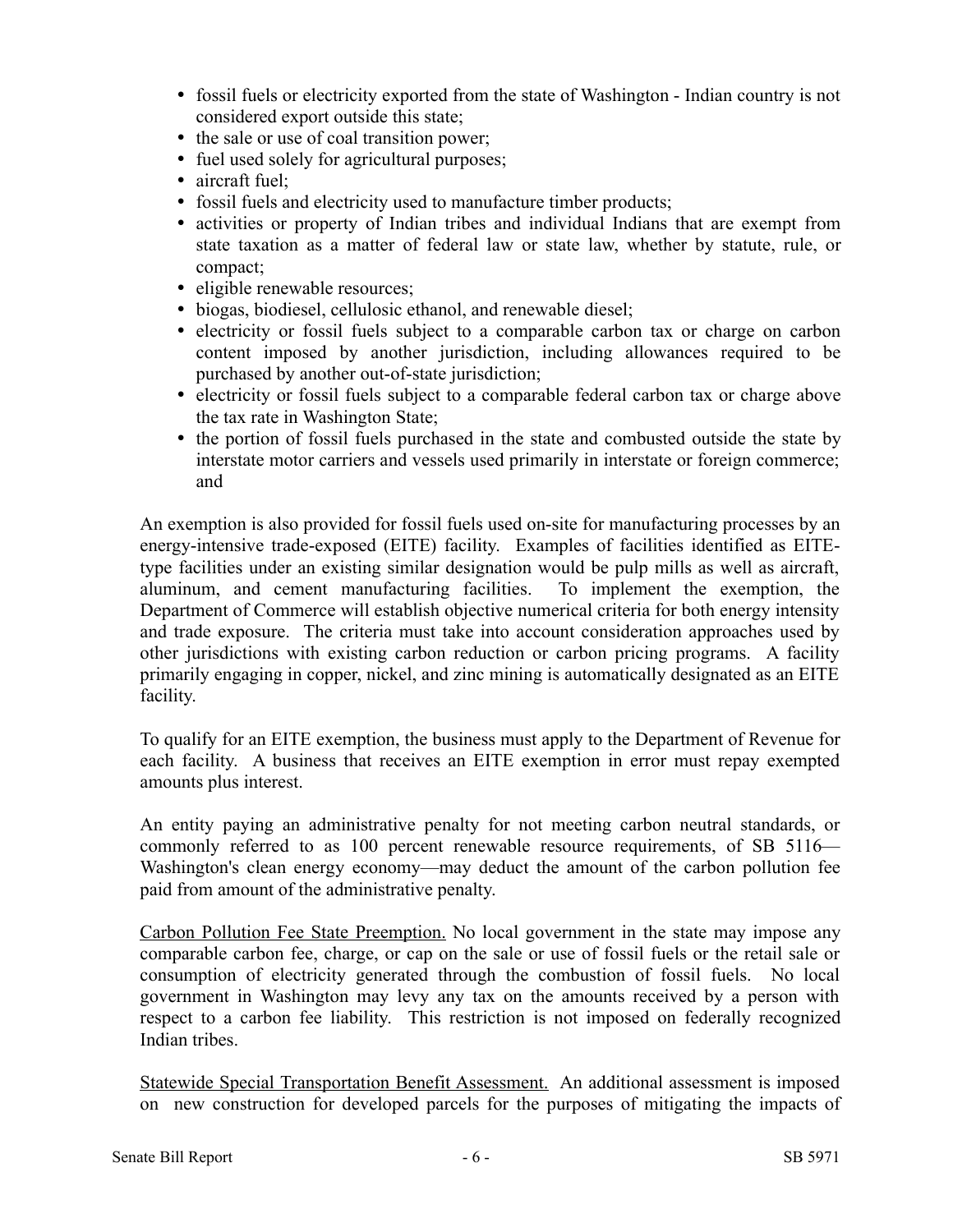- fossil fuels or electricity exported from the state of Washington Indian country is not considered export outside this state;
- the sale or use of coal transition power;
- fuel used solely for agricultural purposes;
- aircraft fuel;
- fossil fuels and electricity used to manufacture timber products;
- activities or property of Indian tribes and individual Indians that are exempt from state taxation as a matter of federal law or state law, whether by statute, rule, or compact;
- eligible renewable resources;
- biogas, biodiesel, cellulosic ethanol, and renewable diesel;
- electricity or fossil fuels subject to a comparable carbon tax or charge on carbon content imposed by another jurisdiction, including allowances required to be purchased by another out-of-state jurisdiction;
- electricity or fossil fuels subject to a comparable federal carbon tax or charge above the tax rate in Washington State;
- the portion of fossil fuels purchased in the state and combusted outside the state by interstate motor carriers and vessels used primarily in interstate or foreign commerce; and

An exemption is also provided for fossil fuels used on-site for manufacturing processes by an energy-intensive trade-exposed (EITE) facility. Examples of facilities identified as EITEtype facilities under an existing similar designation would be pulp mills as well as aircraft, aluminum, and cement manufacturing facilities. To implement the exemption, the Department of Commerce will establish objective numerical criteria for both energy intensity and trade exposure. The criteria must take into account consideration approaches used by other jurisdictions with existing carbon reduction or carbon pricing programs. A facility primarily engaging in copper, nickel, and zinc mining is automatically designated as an EITE facility.

To qualify for an EITE exemption, the business must apply to the Department of Revenue for each facility. A business that receives an EITE exemption in error must repay exempted amounts plus interest.

An entity paying an administrative penalty for not meeting carbon neutral standards, or commonly referred to as 100 percent renewable resource requirements, of SB 5116— Washington's clean energy economy—may deduct the amount of the carbon pollution fee paid from amount of the administrative penalty.

Carbon Pollution Fee State Preemption. No local government in the state may impose any comparable carbon fee, charge, or cap on the sale or use of fossil fuels or the retail sale or consumption of electricity generated through the combustion of fossil fuels. No local government in Washington may levy any tax on the amounts received by a person with respect to a carbon fee liability. This restriction is not imposed on federally recognized Indian tribes.

Statewide Special Transportation Benefit Assessment. An additional assessment is imposed on new construction for developed parcels for the purposes of mitigating the impacts of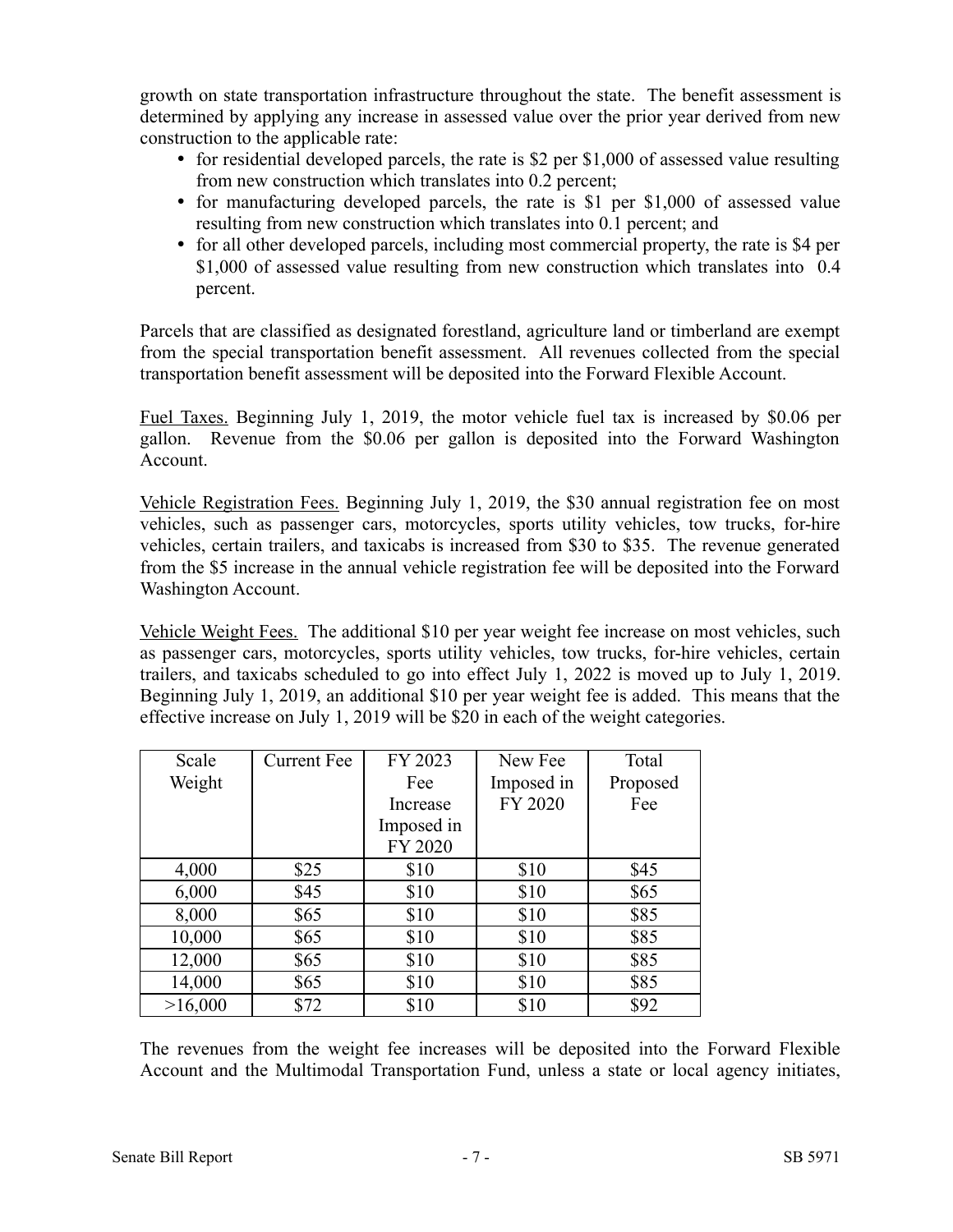growth on state transportation infrastructure throughout the state. The benefit assessment is determined by applying any increase in assessed value over the prior year derived from new construction to the applicable rate:

- $\bullet$  for residential developed parcels, the rate is \$2 per \$1,000 of assessed value resulting from new construction which translates into 0.2 percent;
- for manufacturing developed parcels, the rate is \$1 per \$1,000 of assessed value resulting from new construction which translates into 0.1 percent; and
- for all other developed parcels, including most commercial property, the rate is \$4 per \$1,000 of assessed value resulting from new construction which translates into 0.4 percent.

Parcels that are classified as designated forestland, agriculture land or timberland are exempt from the special transportation benefit assessment. All revenues collected from the special transportation benefit assessment will be deposited into the Forward Flexible Account.

Fuel Taxes. Beginning July 1, 2019, the motor vehicle fuel tax is increased by \$0.06 per gallon. Revenue from the \$0.06 per gallon is deposited into the Forward Washington Account.

Vehicle Registration Fees. Beginning July 1, 2019, the \$30 annual registration fee on most vehicles, such as passenger cars, motorcycles, sports utility vehicles, tow trucks, for-hire vehicles, certain trailers, and taxicabs is increased from \$30 to \$35. The revenue generated from the \$5 increase in the annual vehicle registration fee will be deposited into the Forward Washington Account.

Vehicle Weight Fees. The additional \$10 per year weight fee increase on most vehicles, such as passenger cars, motorcycles, sports utility vehicles, tow trucks, for-hire vehicles, certain trailers, and taxicabs scheduled to go into effect July 1, 2022 is moved up to July 1, 2019. Beginning July 1, 2019, an additional \$10 per year weight fee is added. This means that the effective increase on July 1, 2019 will be \$20 in each of the weight categories.

| Scale   | <b>Current Fee</b> | FY 2023<br>New Fee |            | Total    |
|---------|--------------------|--------------------|------------|----------|
| Weight  |                    | Fee                | Imposed in | Proposed |
|         |                    | Increase           | FY 2020    | Fee      |
|         |                    | Imposed in         |            |          |
|         |                    | FY 2020            |            |          |
| 4,000   | \$25               | \$10               | \$10       | \$45     |
| 6,000   | \$45               | \$10               | \$10       | \$65     |
| 8,000   | \$65               | \$10               | \$10       | \$85     |
| 10,000  | \$65               | \$10               | \$10       | \$85     |
| 12,000  | \$65               | \$10               | \$10       | \$85     |
| 14,000  | \$65               | \$10               | \$10       | \$85     |
| >16,000 | \$72               | \$10               | \$10       | \$92     |

The revenues from the weight fee increases will be deposited into the Forward Flexible Account and the Multimodal Transportation Fund, unless a state or local agency initiates,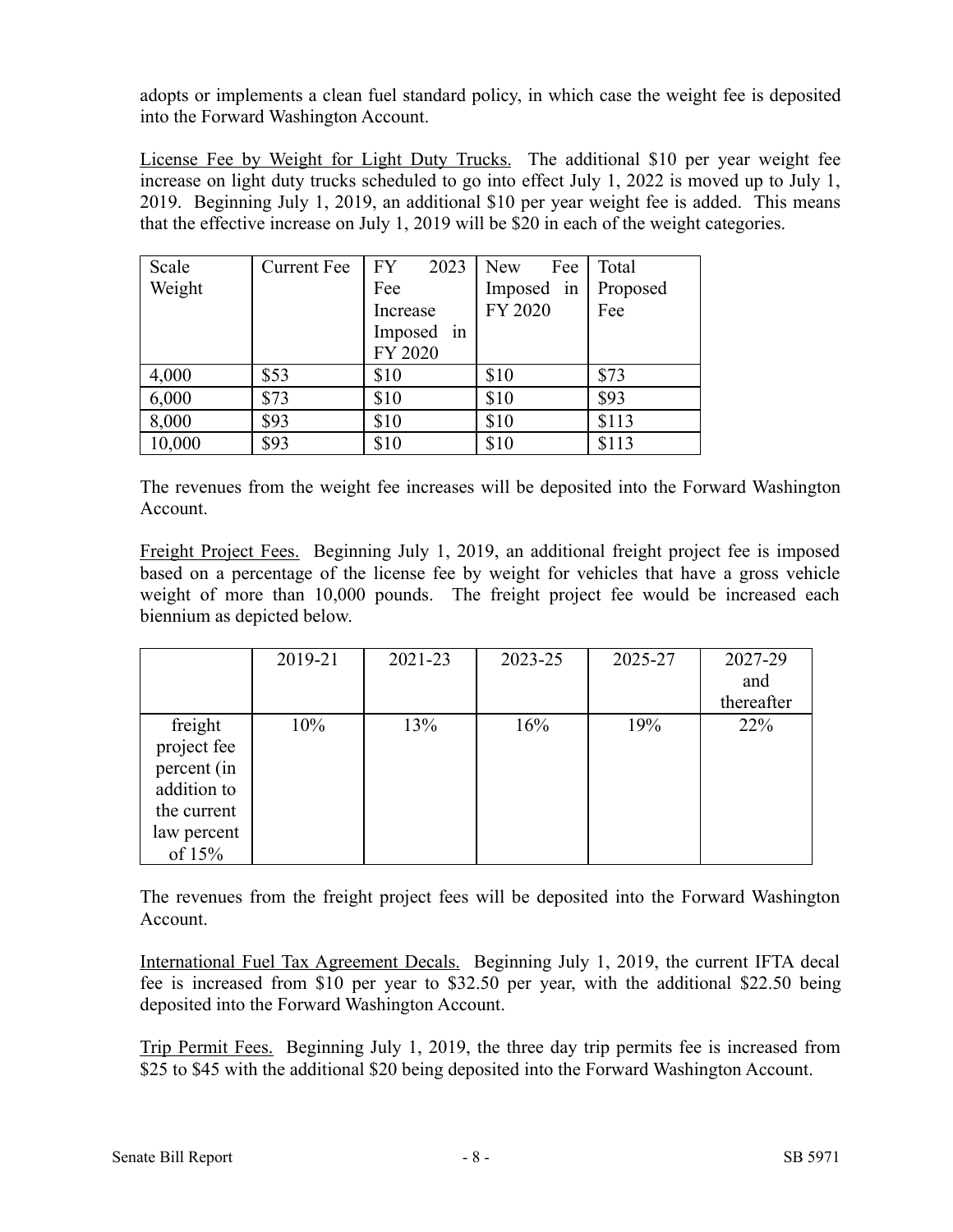adopts or implements a clean fuel standard policy, in which case the weight fee is deposited into the Forward Washington Account.

License Fee by Weight for Light Duty Trucks. The additional \$10 per year weight fee increase on light duty trucks scheduled to go into effect July 1, 2022 is moved up to July 1, 2019. Beginning July 1, 2019, an additional \$10 per year weight fee is added. This means that the effective increase on July 1, 2019 will be \$20 in each of the weight categories.

| Scale  | <b>Current Fee</b> | <b>FY</b><br>2023 | Fee<br>New | Total    |
|--------|--------------------|-------------------|------------|----------|
| Weight |                    | Fee               | Imposed in | Proposed |
|        |                    | Increase          | FY 2020    | Fee      |
|        |                    | Imposed in        |            |          |
|        |                    | FY 2020           |            |          |
| 4,000  | \$53               | \$10              | \$10       | \$73     |
| 6,000  | \$73               | \$10              | \$10       | \$93     |
| 8,000  | \$93               | \$10              | \$10       | \$113    |
| 10,000 | \$93               | \$10              | \$10       | \$113    |

The revenues from the weight fee increases will be deposited into the Forward Washington Account.

Freight Project Fees. Beginning July 1, 2019, an additional freight project fee is imposed based on a percentage of the license fee by weight for vehicles that have a gross vehicle weight of more than 10,000 pounds. The freight project fee would be increased each biennium as depicted below.

|                                                                                                | 2019-21 | 2021-23 | 2023-25 | 2025-27 | 2027-29<br>and<br>thereafter |
|------------------------------------------------------------------------------------------------|---------|---------|---------|---------|------------------------------|
| freight<br>project fee<br>percent (in<br>addition to<br>the current<br>law percent<br>of $15%$ | 10%     | 13%     | 16%     | 19%     | 22%                          |

The revenues from the freight project fees will be deposited into the Forward Washington Account.

International Fuel Tax Agreement Decals. Beginning July 1, 2019, the current IFTA decal fee is increased from \$10 per year to \$32.50 per year, with the additional \$22.50 being deposited into the Forward Washington Account.

Trip Permit Fees. Beginning July 1, 2019, the three day trip permits fee is increased from \$25 to \$45 with the additional \$20 being deposited into the Forward Washington Account.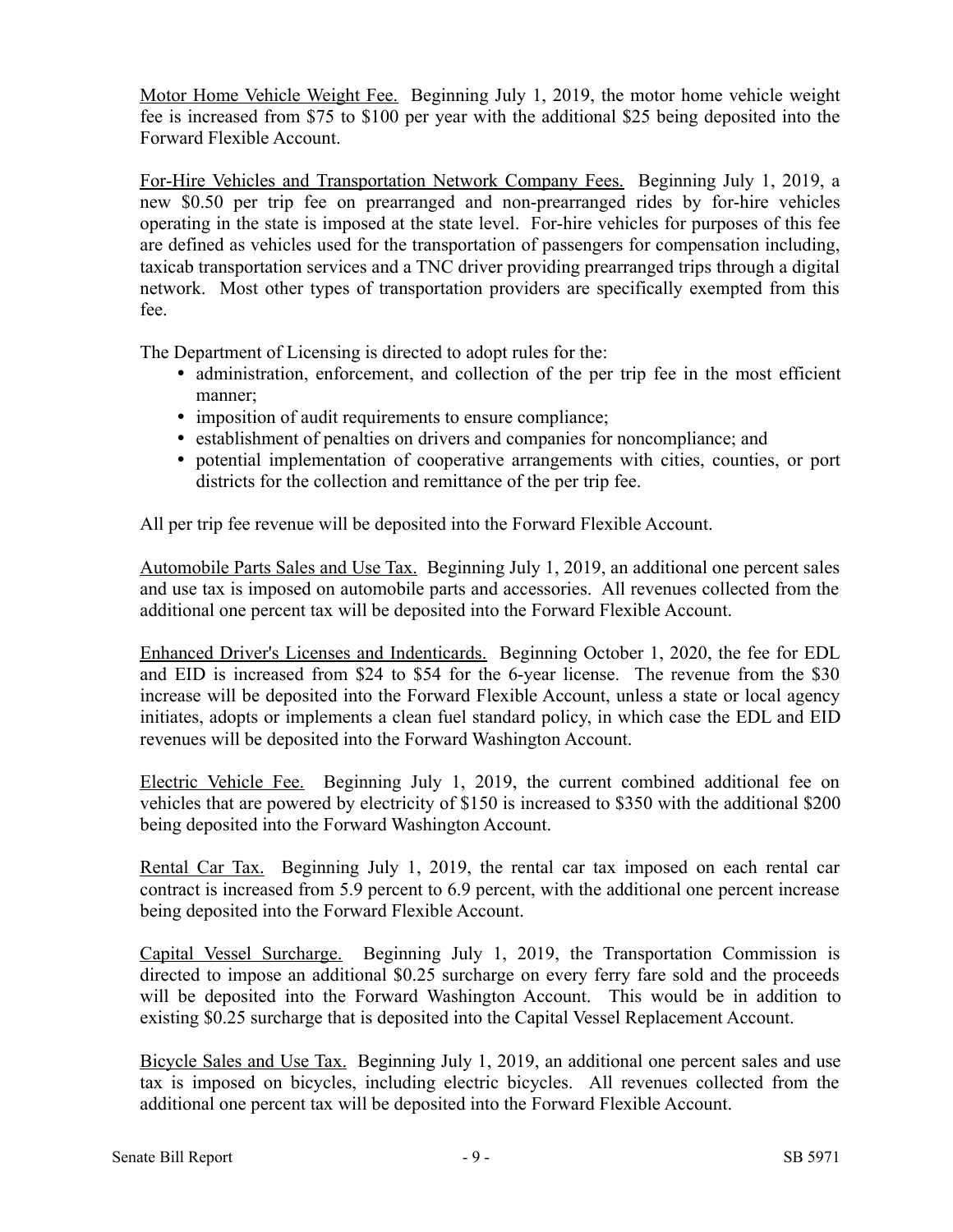Motor Home Vehicle Weight Fee. Beginning July 1, 2019, the motor home vehicle weight fee is increased from \$75 to \$100 per year with the additional \$25 being deposited into the Forward Flexible Account.

For-Hire Vehicles and Transportation Network Company Fees. Beginning July 1, 2019, a new \$0.50 per trip fee on prearranged and non-prearranged rides by for-hire vehicles operating in the state is imposed at the state level. For-hire vehicles for purposes of this fee are defined as vehicles used for the transportation of passengers for compensation including, taxicab transportation services and a TNC driver providing prearranged trips through a digital network. Most other types of transportation providers are specifically exempted from this fee.

The Department of Licensing is directed to adopt rules for the:

- administration, enforcement, and collection of the per trip fee in the most efficient manner;
- imposition of audit requirements to ensure compliance;
- establishment of penalties on drivers and companies for noncompliance; and
- potential implementation of cooperative arrangements with cities, counties, or port districts for the collection and remittance of the per trip fee.

All per trip fee revenue will be deposited into the Forward Flexible Account.

Automobile Parts Sales and Use Tax. Beginning July 1, 2019, an additional one percent sales and use tax is imposed on automobile parts and accessories. All revenues collected from the additional one percent tax will be deposited into the Forward Flexible Account.

Enhanced Driver's Licenses and Indenticards. Beginning October 1, 2020, the fee for EDL and EID is increased from \$24 to \$54 for the 6-year license. The revenue from the \$30 increase will be deposited into the Forward Flexible Account, unless a state or local agency initiates, adopts or implements a clean fuel standard policy, in which case the EDL and EID revenues will be deposited into the Forward Washington Account.

Electric Vehicle Fee. Beginning July 1, 2019, the current combined additional fee on vehicles that are powered by electricity of \$150 is increased to \$350 with the additional \$200 being deposited into the Forward Washington Account.

Rental Car Tax. Beginning July 1, 2019, the rental car tax imposed on each rental car contract is increased from 5.9 percent to 6.9 percent, with the additional one percent increase being deposited into the Forward Flexible Account.

Capital Vessel Surcharge. Beginning July 1, 2019, the Transportation Commission is directed to impose an additional \$0.25 surcharge on every ferry fare sold and the proceeds will be deposited into the Forward Washington Account. This would be in addition to existing \$0.25 surcharge that is deposited into the Capital Vessel Replacement Account.

Bicycle Sales and Use Tax. Beginning July 1, 2019, an additional one percent sales and use tax is imposed on bicycles, including electric bicycles. All revenues collected from the additional one percent tax will be deposited into the Forward Flexible Account.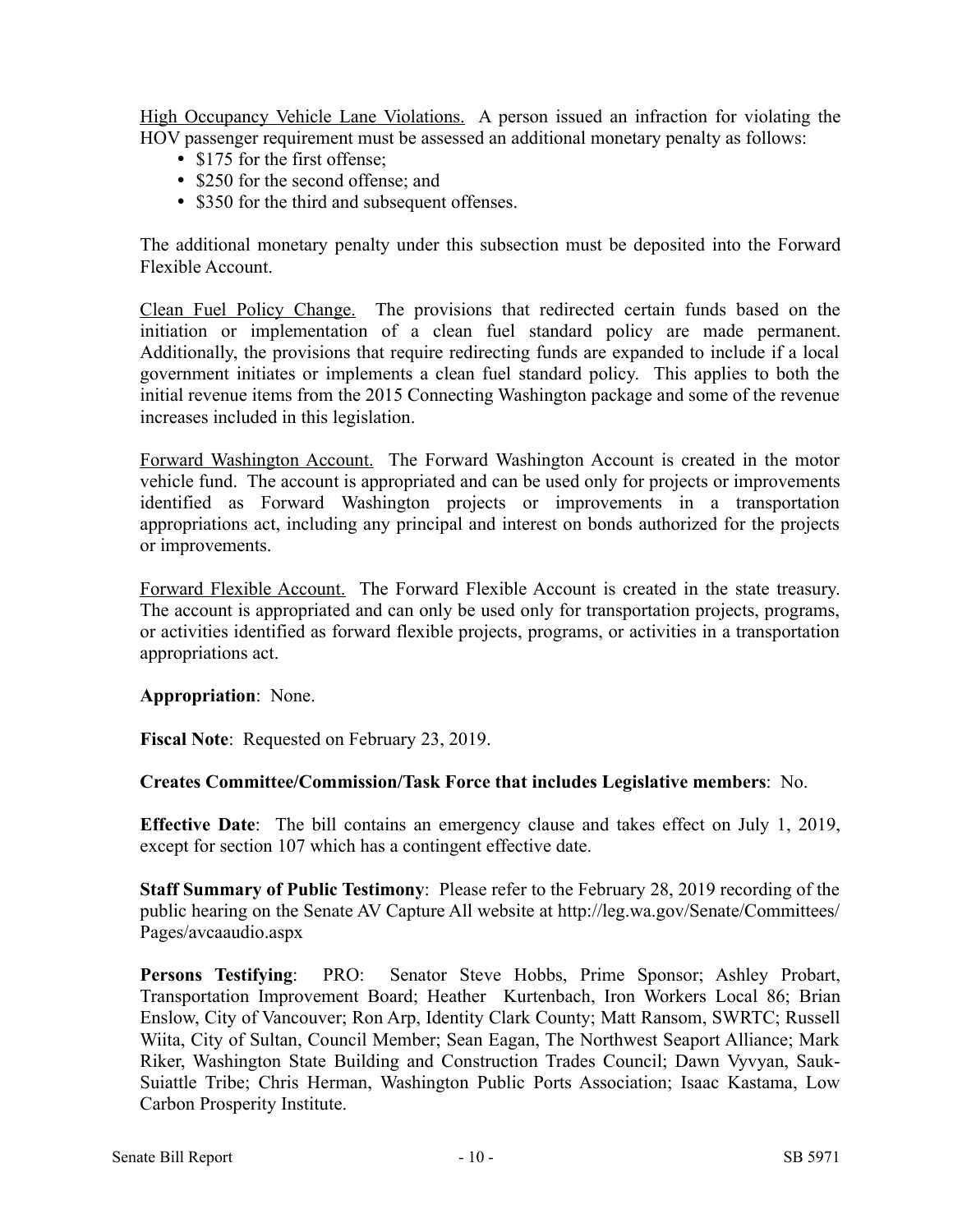High Occupancy Vehicle Lane Violations. A person issued an infraction for violating the HOV passenger requirement must be assessed an additional monetary penalty as follows:

- \$175 for the first offense;
- \$250 for the second offense; and
- \$350 for the third and subsequent offenses.

The additional monetary penalty under this subsection must be deposited into the Forward Flexible Account.

Clean Fuel Policy Change. The provisions that redirected certain funds based on the initiation or implementation of a clean fuel standard policy are made permanent. Additionally, the provisions that require redirecting funds are expanded to include if a local government initiates or implements a clean fuel standard policy. This applies to both the initial revenue items from the 2015 Connecting Washington package and some of the revenue increases included in this legislation.

Forward Washington Account. The Forward Washington Account is created in the motor vehicle fund. The account is appropriated and can be used only for projects or improvements identified as Forward Washington projects or improvements in a transportation appropriations act, including any principal and interest on bonds authorized for the projects or improvements.

Forward Flexible Account. The Forward Flexible Account is created in the state treasury. The account is appropriated and can only be used only for transportation projects, programs, or activities identified as forward flexible projects, programs, or activities in a transportation appropriations act.

**Appropriation**: None.

**Fiscal Note**: Requested on February 23, 2019.

# **Creates Committee/Commission/Task Force that includes Legislative members**: No.

**Effective Date**: The bill contains an emergency clause and takes effect on July 1, 2019, except for section 107 which has a contingent effective date.

**Staff Summary of Public Testimony**: Please refer to the February 28, 2019 recording of the public hearing on the Senate AV Capture All website at http://leg.wa.gov/Senate/Committees/ Pages/avcaaudio.aspx

**Persons Testifying**: PRO: Senator Steve Hobbs, Prime Sponsor; Ashley Probart, Transportation Improvement Board; Heather Kurtenbach, Iron Workers Local 86; Brian Enslow, City of Vancouver; Ron Arp, Identity Clark County; Matt Ransom, SWRTC; Russell Wiita, City of Sultan, Council Member; Sean Eagan, The Northwest Seaport Alliance; Mark Riker, Washington State Building and Construction Trades Council; Dawn Vyvyan, Sauk-Suiattle Tribe; Chris Herman, Washington Public Ports Association; Isaac Kastama, Low Carbon Prosperity Institute.